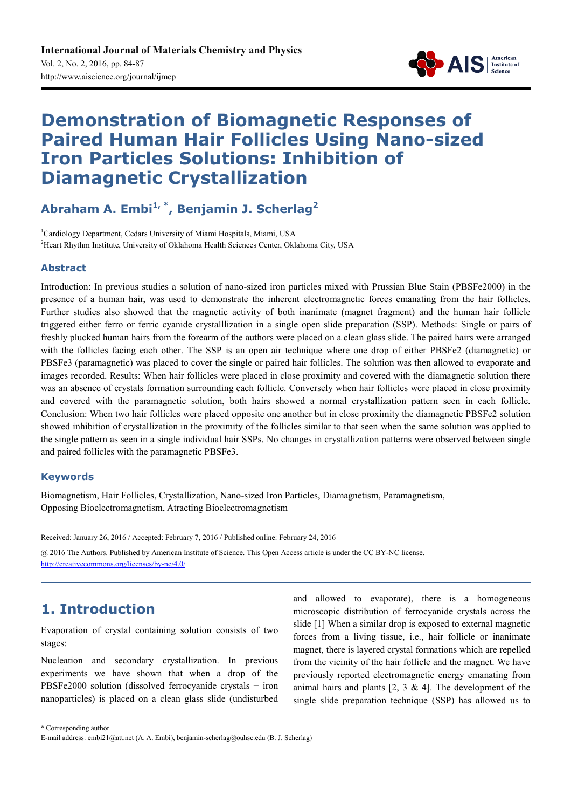

# **Demonstration of Biomagnetic Responses of Paired Human Hair Follicles Using Nano-sized Iron Particles Solutions: Inhibition of Diamagnetic Crystallization**

**Abraham A. Embi1, \*, Benjamin J. Scherlag<sup>2</sup>**

<sup>1</sup>Cardiology Department, Cedars University of Miami Hospitals, Miami, USA <sup>2</sup>Heart Rhythm Institute, University of Oklahoma Health Sciences Center, Oklahoma City, USA

### **Abstract**

Introduction: In previous studies a solution of nano-sized iron particles mixed with Prussian Blue Stain (PBSFe2000) in the presence of a human hair, was used to demonstrate the inherent electromagnetic forces emanating from the hair follicles. Further studies also showed that the magnetic activity of both inanimate (magnet fragment) and the human hair follicle triggered either ferro or ferric cyanide crystalllization in a single open slide preparation (SSP). Methods: Single or pairs of freshly plucked human hairs from the forearm of the authors were placed on a clean glass slide. The paired hairs were arranged with the follicles facing each other. The SSP is an open air technique where one drop of either PBSFe2 (diamagnetic) or PBSFe3 (paramagnetic) was placed to cover the single or paired hair follicles. The solution was then allowed to evaporate and images recorded. Results: When hair follicles were placed in close proximity and covered with the diamagnetic solution there was an absence of crystals formation surrounding each follicle. Conversely when hair follicles were placed in close proximity and covered with the paramagnetic solution, both hairs showed a normal crystallization pattern seen in each follicle. Conclusion: When two hair follicles were placed opposite one another but in close proximity the diamagnetic PBSFe2 solution showed inhibition of crystallization in the proximity of the follicles similar to that seen when the same solution was applied to the single pattern as seen in a single individual hair SSPs. No changes in crystallization patterns were observed between single and paired follicles with the paramagnetic PBSFe3.

#### **Keywords**

Biomagnetism, Hair Follicles, Crystallization, Nano-sized Iron Particles, Diamagnetism, Paramagnetism, Opposing Bioelectromagnetism, Atracting Bioelectromagnetism

Received: January 26, 2016 / Accepted: February 7, 2016 / Published online: February 24, 2016

@ 2016 The Authors. Published by American Institute of Science. This Open Access article is under the CC BY-NC license. http://creativecommons.org/licenses/by-nc/4.0/

# **1. Introduction**

Evaporation of crystal containing solution consists of two stages:

Nucleation and secondary crystallization. In previous experiments we have shown that when a drop of the PBSFe2000 solution (dissolved ferrocyanide crystals + iron nanoparticles) is placed on a clean glass slide (undisturbed and allowed to evaporate), there is a homogeneous microscopic distribution of ferrocyanide crystals across the slide [1] When a similar drop is exposed to external magnetic forces from a living tissue, i.e., hair follicle or inanimate magnet, there is layered crystal formations which are repelled from the vicinity of the hair follicle and the magnet. We have previously reported electromagnetic energy emanating from animal hairs and plants  $[2, 3 \& 4]$ . The development of the single slide preparation technique (SSP) has allowed us to

\* Corresponding author

E-mail address: embi21@att.net (A. A. Embi), benjamin-scherlag@ouhsc.edu (B. J. Scherlag)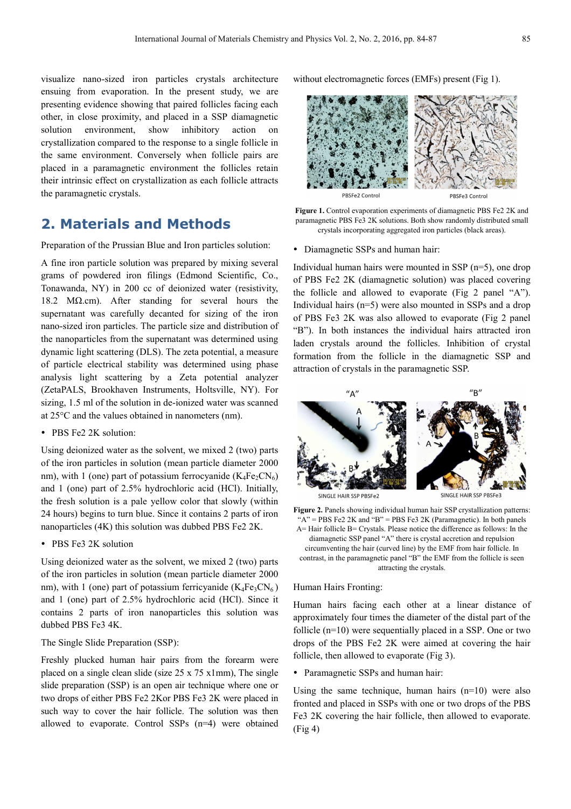visualize nano-sized iron particles crystals architecture ensuing from evaporation. In the present study, we are presenting evidence showing that paired follicles facing each other, in close proximity, and placed in a SSP diamagnetic solution environment, show inhibitory action on crystallization compared to the response to a single follicle in the same environment. Conversely when follicle pairs are placed in a paramagnetic environment the follicles retain their intrinsic effect on crystallization as each follicle attracts the paramagnetic crystals.

### **2. Materials and Methods**

Preparation of the Prussian Blue and Iron particles solution:

A fine iron particle solution was prepared by mixing several grams of powdered iron filings (Edmond Scientific, Co., Tonawanda, NY) in 200 cc of deionized water (resistivity, 18.2 MΩ.cm). After standing for several hours the supernatant was carefully decanted for sizing of the iron nano-sized iron particles. The particle size and distribution of the nanoparticles from the supernatant was determined using dynamic light scattering (DLS). The zeta potential, a measure of particle electrical stability was determined using phase analysis light scattering by a Zeta potential analyzer (ZetaPALS, Brookhaven Instruments, Holtsville, NY). For sizing, 1.5 ml of the solution in de-ionized water was scanned at 25°C and the values obtained in nanometers (nm).

• PBS Fe2 2K solution:

Using deionized water as the solvent, we mixed 2 (two) parts of the iron particles in solution (mean particle diameter 2000 nm), with 1 (one) part of potassium ferrocyanide  $(K_4Fe_2CN_6)$ and 1 (one) part of 2.5% hydrochloric acid (HCl). Initially, the fresh solution is a pale yellow color that slowly (within 24 hours) begins to turn blue. Since it contains 2 parts of iron nanoparticles (4K) this solution was dubbed PBS Fe2 2K.

• PBS Fe3 2K solution

Using deionized water as the solvent, we mixed 2 (two) parts of the iron particles in solution (mean particle diameter 2000 nm), with 1 (one) part of potassium ferricyanide  $(K_4Fe_3CN_6)$ and 1 (one) part of 2.5% hydrochloric acid (HCl). Since it contains 2 parts of iron nanoparticles this solution was dubbed PBS Fe3 4K.

#### The Single Slide Preparation (SSP):

Freshly plucked human hair pairs from the forearm were placed on a single clean slide (size  $25 \times 75 \times 1$ mm), The single slide preparation (SSP) is an open air technique where one or two drops of either PBS Fe2 2Kor PBS Fe3 2K were placed in such way to cover the hair follicle. The solution was then allowed to evaporate. Control SSPs (n=4) were obtained without electromagnetic forces (EMFs) present (Fig 1).

PBSFe2 Control PBSFe3 Control

Figure 1. Control evaporation experiments of diamagnetic PBS Fe2 2K and paramagnetic PBS Fe3 2K solutions. Both show randomly distributed small crystals incorporating aggregated iron particles (black areas).

Diamagnetic SSPs and human hair:

Individual human hairs were mounted in SSP (n=5), one drop of PBS Fe2 2K (diamagnetic solution) was placed covering the follicle and allowed to evaporate (Fig 2 panel "A"). Individual hairs (n=5) were also mounted in SSPs and a drop of PBS Fe3 2K was also allowed to evaporate (Fig 2 panel "B"). In both instances the individual hairs attracted iron laden crystals around the follicles. Inhibition of crystal formation from the follicle in the diamagnetic SSP and attraction of crystals in the paramagnetic SSP.



Figure 2. Panels showing individual human hair SSP crystallization patterns: " $A$ " = PBS Fe2 2K and "B" = PBS Fe3 2K (Paramagnetic). In both panels A= Hair follicle B= Crystals. Please notice the difference as follows: In the diamagnetic SSP panel "A" there is crystal accretion and repulsion circumventing the hair (curved line) by the EMF from hair follicle. In contrast, in the paramagnetic panel "B" the EMF from the follicle is seen attracting the crystals.

#### Human Hairs Fronting:

Human hairs facing each other at a linear distance of approximately four times the diameter of the distal part of the follicle (n=10) were sequentially placed in a SSP. One or two drops of the PBS Fe2 2K were aimed at covering the hair follicle, then allowed to evaporate (Fig 3).

• Paramagnetic SSPs and human hair:

Using the same technique, human hairs  $(n=10)$  were also fronted and placed in SSPs with one or two drops of the PBS Fe3 2K covering the hair follicle, then allowed to evaporate. (Fig 4)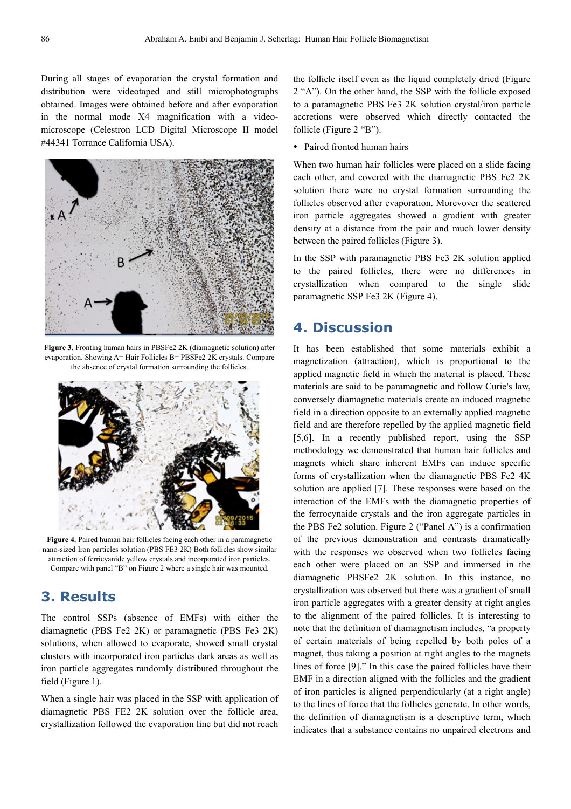During all stages of evaporation the crystal formation and distribution were videotaped and still microphotographs obtained. Images were obtained before and after evaporation in the normal mode X4 magnification with a videomicroscope (Celestron LCD Digital Microscope II model #44341 Torrance California USA).



**Figure 3.** Fronting human hairs in PBSFe2 2K (diamagnetic solution) after evaporation. Showing A= Hair Follicles B= PBSFe2 2K crystals. Compare the absence of crystal formation surrounding the follicles.



**Figure 4.** Paired human hair follicles facing each other in a paramagnetic nano-sized Iron particles solution (PBS FE3 2K) Both follicles show similar attraction of ferricyanide yellow crystals and incorporated iron particles. Compare with panel "B" on Figure 2 where a single hair was mounted.

### **3. Results**

The control SSPs (absence of EMFs) with either the diamagnetic (PBS Fe2 2K) or paramagnetic (PBS Fe3 2K) solutions, when allowed to evaporate, showed small crystal clusters with incorporated iron particles dark areas as well as iron particle aggregates randomly distributed throughout the field (Figure 1).

When a single hair was placed in the SSP with application of diamagnetic PBS FE2 2K solution over the follicle area, crystallization followed the evaporation line but did not reach

the follicle itself even as the liquid completely dried (Figure 2 "A"). On the other hand, the SSP with the follicle exposed to a paramagnetic PBS Fe3 2K solution crystal/iron particle accretions were observed which directly contacted the follicle (Figure 2 "B").

• Paired fronted human hairs

When two human hair follicles were placed on a slide facing each other, and covered with the diamagnetic PBS Fe2 2K solution there were no crystal formation surrounding the follicles observed after evaporation. Morevover the scattered iron particle aggregates showed a gradient with greater density at a distance from the pair and much lower density between the paired follicles (Figure 3).

In the SSP with paramagnetic PBS Fe3 2K solution applied to the paired follicles, there were no differences in crystallization when compared to the single slide paramagnetic SSP Fe3 2K (Figure 4).

### **4. Discussion**

It has been established that some materials exhibit a magnetization (attraction), which is proportional to the applied magnetic field in which the material is placed. These materials are said to be paramagnetic and follow Curie's law, conversely diamagnetic materials create an induced magnetic field in a direction opposite to an externally applied magnetic field and are therefore repelled by the applied magnetic field [5,6]. In a recently published report, using the SSP methodology we demonstrated that human hair follicles and magnets which share inherent EMFs can induce specific forms of crystallization when the diamagnetic PBS Fe2 4K solution are applied [7]. These responses were based on the interaction of the EMFs with the diamagnetic properties of the ferrocynaide crystals and the iron aggregate particles in the PBS Fe2 solution. Figure 2 ("Panel A") is a confirmation of the previous demonstration and contrasts dramatically with the responses we observed when two follicles facing each other were placed on an SSP and immersed in the diamagnetic PBSFe2 2K solution. In this instance, no crystallization was observed but there was a gradient of small iron particle aggregates with a greater density at right angles to the alignment of the paired follicles. It is interesting to note that the definition of diamagnetism includes, "a property of certain materials of being repelled by both poles of a magnet, thus taking a position at right angles to the magnets lines of force [9]." In this case the paired follicles have their EMF in a direction aligned with the follicles and the gradient of iron particles is aligned perpendicularly (at a right angle) to the lines of force that the follicles generate. In other words, the definition of diamagnetism is a descriptive term, which indicates that a substance contains no unpaired electrons and